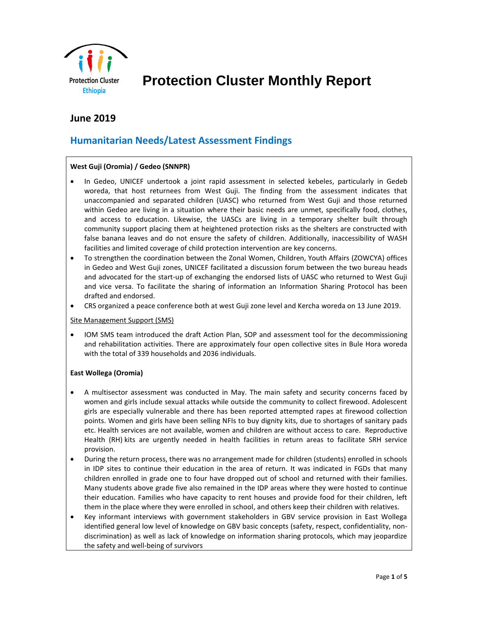

# **Protection Cluster Monthly Report**

## **June 2019**

# **Humanitarian Needs/Latest Assessment Findings**

#### **West Guji (Oromia) / Gedeo (SNNPR)**

- In Gedeo, UNICEF undertook a joint rapid assessment in selected kebeles, particularly in Gedeb woreda, that host returnees from West Guji. The finding from the assessment indicates that unaccompanied and separated children (UASC) who returned from West Guji and those returned within Gedeo are living in a situation where their basic needs are unmet, specifically food, clothes, and access to education. Likewise, the UASCs are living in a temporary shelter built through community support placing them at heightened protection risks as the shelters are constructed with false banana leaves and do not ensure the safety of children. Additionally, inaccessibility of WASH facilities and limited coverage of child protection intervention are key concerns.
- To strengthen the coordination between the Zonal Women, Children, Youth Affairs (ZOWCYA) offices in Gedeo and West Guji zones, UNICEF facilitated a discussion forum between the two bureau heads and advocated for the start-up of exchanging the endorsed lists of UASC who returned to West Guji and vice versa. To facilitate the sharing of information an Information Sharing Protocol has been drafted and endorsed.
- CRS organized a peace conference both at west Guji zone level and Kercha woreda on 13 June 2019.

#### Site Management Support (SMS)

• IOM SMS team introduced the draft Action Plan, SOP and assessment tool for the decommissioning and rehabilitation activities. There are approximately four open collective sites in Bule Hora woreda with the total of 339 households and 2036 individuals.

#### **East Wollega (Oromia)**

- A multisector assessment was conducted in May. The main safety and security concerns faced by women and girls include sexual attacks while outside the community to collect firewood. Adolescent girls are especially vulnerable and there has been reported attempted rapes at firewood collection points. Women and girls have been selling NFIs to buy dignity kits, due to shortages of sanitary pads etc. Health services are not available, women and children are without access to care. Reproductive Health (RH) kits are urgently needed in health facilities in return areas to facilitate SRH service provision.
- During the return process, there was no arrangement made for children (students) enrolled in schools in IDP sites to continue their education in the area of return. It was indicated in FGDs that many children enrolled in grade one to four have dropped out of school and returned with their families. Many students above grade five also remained in the IDP areas where they were hosted to continue their education. Families who have capacity to rent houses and provide food for their children, left them in the place where they were enrolled in school, and others keep their children with relatives.
- Key informant interviews with government stakeholders in GBV service provision in East Wollega identified general low level of knowledge on GBV basic concepts (safety, respect, confidentiality, nondiscrimination) as well as lack of knowledge on information sharing protocols, which may jeopardize the safety and well-being of survivors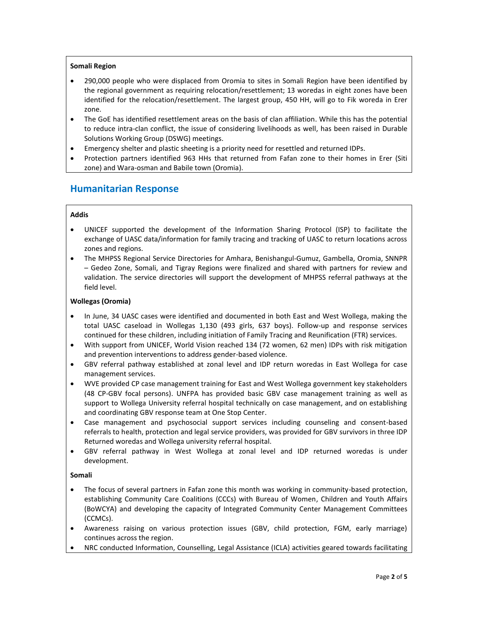#### **Somali Region**

- 290,000 people who were displaced from Oromia to sites in Somali Region have been identified by the regional government as requiring relocation/resettlement; 13 woredas in eight zones have been identified for the relocation/resettlement. The largest group, 450 HH, will go to Fik woreda in Erer zone.
- The GoE has identified resettlement areas on the basis of clan affiliation. While this has the potential to reduce intra-clan conflict, the issue of considering livelihoods as well, has been raised in Durable Solutions Working Group (DSWG) meetings.
- Emergency shelter and plastic sheeting is a priority need for resettled and returned IDPs.
- Protection partners identified 963 HHs that returned from Fafan zone to their homes in Erer (Siti zone) and Wara-osman and Babile town (Oromia).

### **Humanitarian Response**

#### **Addis**

- UNICEF supported the development of the Information Sharing Protocol (ISP) to facilitate the exchange of UASC data/information for family tracing and tracking of UASC to return locations across zones and regions.
- The MHPSS Regional Service Directories for Amhara, Benishangul-Gumuz, Gambella, Oromia, SNNPR – Gedeo Zone, Somali, and Tigray Regions were finalized and shared with partners for review and validation. The service directories will support the development of MHPSS referral pathways at the field level.

#### **Wollegas (Oromia)**

- In June, 34 UASC cases were identified and documented in both East and West Wollega, making the total UASC caseload in Wollegas 1,130 (493 girls, 637 boys). Follow-up and response services continued for these children, including initiation of Family Tracing and Reunification (FTR) services.
- With support from UNICEF, World Vision reached 134 (72 women, 62 men) IDPs with risk mitigation and prevention interventions to address gender-based violence.
- GBV referral pathway established at zonal level and IDP return woredas in East Wollega for case management services.
- WVE provided CP case management training for East and West Wollega government key stakeholders (48 CP-GBV focal persons). UNFPA has provided basic GBV case management training as well as support to Wollega University referral hospital technically on case management, and on establishing and coordinating GBV response team at One Stop Center.
- Case management and psychosocial support services including counseling and consent-based referrals to health, protection and legal service providers, was provided for GBV survivors in three IDP Returned woredas and Wollega university referral hospital.
- GBV referral pathway in West Wollega at zonal level and IDP returned woredas is under development.

#### **Somali**

- The focus of several partners in Fafan zone this month was working in community-based protection, establishing Community Care Coalitions (CCCs) with Bureau of Women, Children and Youth Affairs (BoWCYA) and developing the capacity of Integrated Community Center Management Committees (CCMCs).
- Awareness raising on various protection issues (GBV, child protection, FGM, early marriage) continues across the region.
- NRC conducted Information, Counselling, Legal Assistance (ICLA) activities geared towards facilitating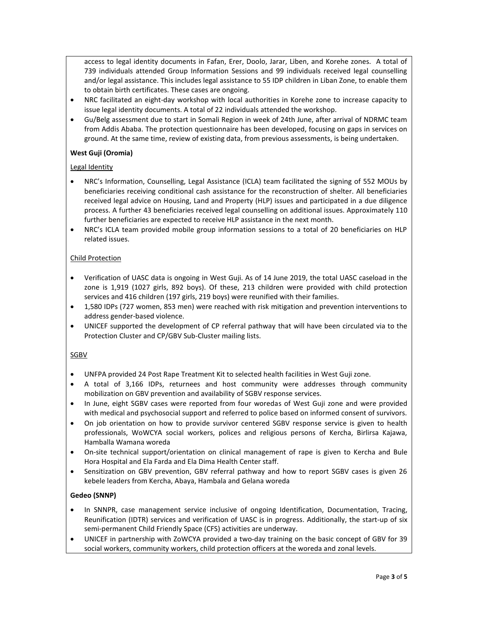access to legal identity documents in Fafan, Erer, Doolo, Jarar, Liben, and Korehe zones. A total of 739 individuals attended Group Information Sessions and 99 individuals received legal counselling and/or legal assistance. This includes legal assistance to 55 IDP children in Liban Zone, to enable them to obtain birth certificates. These cases are ongoing.

- NRC facilitated an eight-day workshop with local authorities in Korehe zone to increase capacity to issue legal identity documents. A total of 22 individuals attended the workshop.
- Gu/Belg assessment due to start in Somali Region in week of 24th June, after arrival of NDRMC team from Addis Ababa. The protection questionnaire has been developed, focusing on gaps in services on ground. At the same time, review of existing data, from previous assessments, is being undertaken.

#### **West Guji (Oromia)**

#### Legal Identity

- NRC's Information, Counselling, Legal Assistance (ICLA) team facilitated the signing of 552 MOUs by beneficiaries receiving conditional cash assistance for the reconstruction of shelter. All beneficiaries received legal advice on Housing, Land and Property (HLP) issues and participated in a due diligence process. A further 43 beneficiaries received legal counselling on additional issues. Approximately 110 further beneficiaries are expected to receive HLP assistance in the next month.
- NRC's ICLA team provided mobile group information sessions to a total of 20 beneficiaries on HLP related issues.

#### Child Protection

- Verification of UASC data is ongoing in West Guji. As of 14 June 2019, the total UASC caseload in the zone is 1,919 (1027 girls, 892 boys). Of these, 213 children were provided with child protection services and 416 children (197 girls, 219 boys) were reunified with their families.
- 1,580 IDPs (727 women, 853 men) were reached with risk mitigation and prevention interventions to address gender-based violence.
- UNICEF supported the development of CP referral pathway that will have been circulated via to the Protection Cluster and CP/GBV Sub-Cluster mailing lists.

#### SGBV

- UNFPA provided 24 Post Rape Treatment Kit to selected health facilities in West Guji zone.
- A total of 3,166 IDPs, returnees and host community were addresses through community mobilization on GBV prevention and availability of SGBV response services.
- In June, eight SGBV cases were reported from four woredas of West Guji zone and were provided with medical and psychosocial support and referred to police based on informed consent of survivors.
- On job orientation on how to provide survivor centered SGBV response service is given to health professionals, WoWCYA social workers, polices and religious persons of Kercha, Birlirsa Kajawa, Hamballa Wamana woreda
- On-site technical support/orientation on clinical management of rape is given to Kercha and Bule Hora Hospital and Ela Farda and Ela Dima Health Center staff.
- Sensitization on GBV prevention, GBV referral pathway and how to report SGBV cases is given 26 kebele leaders from Kercha, Abaya, Hambala and Gelana woreda

#### **Gedeo (SNNP)**

- In SNNPR, case management service inclusive of ongoing Identification, Documentation, Tracing, Reunification (IDTR) services and verification of UASC is in progress. Additionally, the start-up of six semi-permanent Child Friendly Space (CFS) activities are underway.
- UNICEF in partnership with ZoWCYA provided a two-day training on the basic concept of GBV for 39 social workers, community workers, child protection officers at the woreda and zonal levels.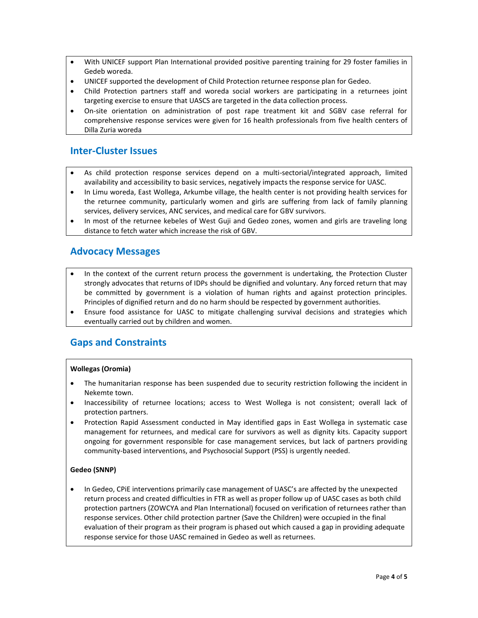- With UNICEF support Plan International provided positive parenting training for 29 foster families in Gedeb woreda.
- UNICEF supported the development of Child Protection returnee response plan for Gedeo.
- Child Protection partners staff and woreda social workers are participating in a returnees joint targeting exercise to ensure that UASCS are targeted in the data collection process.
- On-site orientation on administration of post rape treatment kit and SGBV case referral for comprehensive response services were given for 16 health professionals from five health centers of Dilla Zuria woreda

### **Inter-Cluster Issues**

- As child protection response services depend on a multi-sectorial/integrated approach, limited availability and accessibility to basic services, negatively impacts the response service for UASC.
- In Limu woreda, East Wollega, Arkumbe village, the health center is not providing health services for the returnee community, particularly women and girls are suffering from lack of family planning services, delivery services, ANC services, and medical care for GBV survivors.
- In most of the returnee kebeles of West Guji and Gedeo zones, women and girls are traveling long distance to fetch water which increase the risk of GBV.

### **Advocacy Messages**

- In the context of the current return process the government is undertaking, the Protection Cluster strongly advocates that returns of IDPs should be dignified and voluntary. Any forced return that may be committed by government is a violation of human rights and against protection principles. Principles of dignified return and do no harm should be respected by government authorities.
- Ensure food assistance for UASC to mitigate challenging survival decisions and strategies which eventually carried out by children and women.

### **Gaps and Constraints**

#### **Wollegas (Oromia)**

- The humanitarian response has been suspended due to security restriction following the incident in Nekemte town.
- Inaccessibility of returnee locations; access to West Wollega is not consistent; overall lack of protection partners.
- Protection Rapid Assessment conducted in May identified gaps in East Wollega in systematic case management for returnees, and medical care for survivors as well as dignity kits. Capacity support ongoing for government responsible for case management services, but lack of partners providing community-based interventions, and Psychosocial Support (PSS) is urgently needed.

#### **Gedeo (SNNP)**

• In Gedeo, CPiE interventions primarily case management of UASC's are affected by the unexpected return process and created difficulties in FTR as well as proper follow up of UASC cases as both child protection partners (ZOWCYA and Plan International) focused on verification of returnees rather than response services. Other child protection partner (Save the Children) were occupied in the final evaluation of their program as their program is phased out which caused a gap in providing adequate response service for those UASC remained in Gedeo as well as returnees.